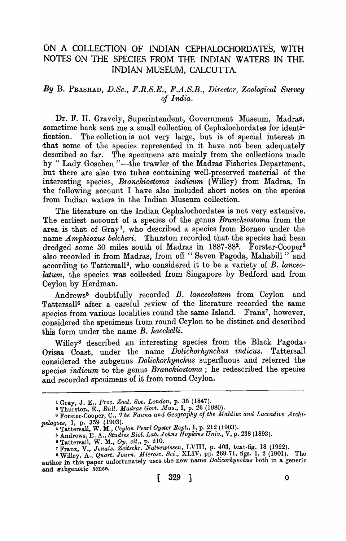# ON A COLLECTION OF INDIAN CEPHALOCHORDATES, WITH NOTES ON THE SPECIES FROM THE INDIAN WATERS IN THE INDIAN MUSEUM, CALCUTTA.

## By B. PRASHAD, D.Sc., F.R.S.E., F.A.S.B., Director, Zoological Survey *of India.*

Dr. F. H. Gravely, Superintendent, Government Museum, Madras, sometime back sent me a small collection of Cephalochordates for identification. The collction is not very large, but is of special interest in that some of the species represented in it have not been adequately described so far. The specimens are mainly from the collections made by " Lady Goschen "-the trawler of the Madras Fisheries Department, but there are also two tubes containing well-preserved material of the interesting species, *Branchiostoma indicum* (Willey) from Madras. In the following account I have also included short notes on the species from Indian waters in the Indian Museum collection.

The literature on the Indian Cephalochordates is not very extensive. The earliest account of a species of the genus *Branchiostoma* from the area is that of Gray!, who described a species from Borneo under the name *Amphioxus belcheri*. Thurston recorded that the species had been dredged some 30 miles south of Madras in 1887-882• Forster-Cooper<sup>3</sup> also recorded it from Madras, from off "Seven Pagoda, Mahabili" and according to Tattersall4, who considered it to be a variety of *B. lanceo*latum, the species was collected from Singapore by Bedford and from Ceylon by Herdman.

Andrews5 doubtfully recorded *B. lanceolatum* from Ceylon and Tattersall6 after a careful review of the literature recorded the same species from various localities round the same Island. Franz<sup>7</sup>, however, oonsidered the specimens from round Ceylon to be distinct and described this form under the name *B. haeckelli*.

Willey<sup>8</sup> described an interesting species from the Black Pagoda, Orissa Coast, under the name *Dolichorhynchus indicus.* Tattersall considered the subgenus *Dolichorhynchus* superfluous and referred the species *indicum* to the genus *Branchiostoma*; he redescribed the species and recorded specimens of it from round Ceylon.

<sup>1</sup>Gray, J. E., *Proc. Zool. Soc. London,* p. 35 (1847).

<sup>2</sup> Thurston E., *Bull. Madras Govt. Mus.,* I, p. 26 (1980).

<sup>&</sup>lt;sup>3</sup> Forster-Cooper, C., The Fauna and Geography of the Maldive and Laccadive Archi*pelagoes,* I, p. 359 (1903).<br>**4 Tattersall, W. M.,** *Ceylon Pearl Oyster Rept.*, I, p. 212 (1903).

I) Andrews, E. A., *Studies Biol. Lab. Johns Hopktns Untv.,* V, p. 238 (1893).

<sup>6</sup> Tattersall, W. M., *Op. cit.,* p. 210. 7 Franz, V., *Jenais. Zeitschr. Naturwissen,* LVIII, p. 403, text-fig. 18 (1922).

<sup>8</sup> Willey, A., *Quart. Journ. Microsc. Sci.*, XLIV, pp. 269-71, figs. 1, 2 (1901). The author in this paper unfortunately uses the new name *Dolicorhynchus* both in a generic and subgeneric sense.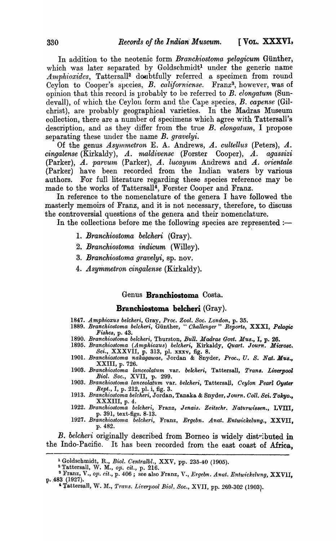In addition to the neotenic form *Branchiostoma pelagicum* Günther, which was later separated by Goldschmidt<sup>1</sup> under the generic name Amphioxides, Tattersall<sup>2</sup> doubtfully referred a specimen from round Ceylon to Cooper's species, *B. californiense*. Franz<sup>3</sup>, however, was of opinion that this record is probably to be referred to *B. elongatum* (Sundevall), of which the Ceylon form and the Cape species, *B. capense* (Gilchrist), are probably geographical varieties. In the Madras Museum oollection, there are a number of specimens which agree with Tattersall's description, and as they differ from the true *B. elongatum*, I propose separating these under the name *B. gravelyi.* 

Of the genus *Asymmetron* E. A. Andrews, *A. cultellus* (Peters), *A. cingalense* (Kirkaldy), *A. maldivense* (Forster Cooper), *A. agassizi*  (Parker), *A. parvum* (Parker), *A. lucayum* Andrews and *A. orientale* (Parker) have been recorded from the Indian waters by various authors. For full literature regarding these species reference may be made to the works of Tattersall<sup>4</sup>, Forster Cooper and Franz.

In reference to the nomenclature of the genera I have followed the masterly memoirs of Franz, and it is not necessary, therefore, to discuss the controversial questions of the genera and their nomenclature.

In the collections before me the following species are represented  $:$ 

- 1. *Branchiostoma belcheri* (Gray).
- *2. Branchiostoma indicum* (Willey).
- 3. *Branchiostoma gravelyi*, sp. nov.
- *4. Asymmetron cingalense* (Kirkaldy).

### Genus **Branchiostoma** Costa.

### **Branchiostoma belcheri** (Gray).

- *1847. Amphioxus belcheri,* Gray, *Proc. Zool. Soc. London,* p. 35.
- *1889. Branchiostoma belcheri,* Gunther, *"Challenger" Report8,* XXXI, *Pelagic Fishe8,* p. 43.
- *1890. Branchiostoma belcheri,* Thurston, *Bull. Madras Govt. MU8.,* I, p. 26.
- *1895. Branchiostoma (Amphioxus) belcheri,* Kirkaldy, *Quart. Journ. Micro8c.*  Sci., XXXVII, p. 313, pI. xxxv, fig. 8.
- 190!. *Branchio8toma nakagawae,* Jordan & Snyder, *Proc., U. S. Nat. M'U8.,*  XXIII, p. 726.
- *1903. Branchiostoma lanceolatum* var. *belcheri,* Tattersall, *Tran8. LiverpooZ Biol. Soc.,* XVII, p. 299.
- 1903. *Branchiostoma lanceolatum var. belcheri*, Tattersall, *Ceylon Pearl Oyster Rept.,* I, p. 212, pI. i, fig. 3.
- 1913. *Branchiostoma belcheri*, Jordan, Tanaka & Snyder, Journ. Coll. Sci. Tokyo., XXXIII, p. 4.
- 1922. Branchiostoma belcheri, Franz, Jenais. Zeitschr. Naturwissen., LVIII, p. 391, text-figs. 8-13.
- *1927. Branchiostoma belcheri,* Franz, *Ergebn. Anat. Entwickelung.,* XXVII, p.482.

*B. belcheri* originally described from Borneo is widely distributed in the Indo-Pacific. It has been recorded from the east coast of Africa,

<sup>1</sup> Goldschmidt, R., *Biol. Oentralbl.,* XXV, pp. 235-40 (1905).

<sup>&</sup>lt;sup>2</sup> Tattersall, W. M., op. cit., p. 216.

<sup>&</sup>lt;sup>3</sup> Franz, V., op. cit., p. 406; see also Franz, V., *Ergebn. Anat. Entwickelung*, XXVII, p. 483 (1927).

<sup>&</sup>lt;sup>4</sup> Tattersall, W. M., *Trans. Liverpool Biol. Soc.*, XVII, pp. 269-302 (1903).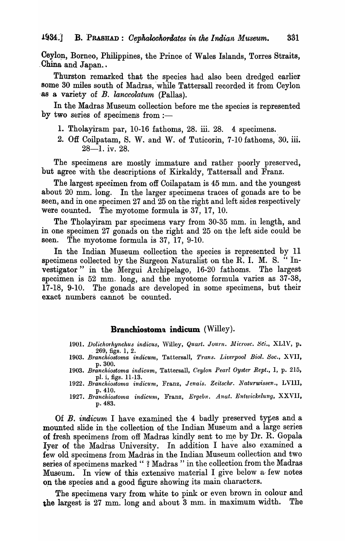Ceylon, Borneo, Philippines, the Prince of Wales Islands, Torres Straits, China and Japan..

Thurston remarked that the species had also been dredged earlier some 30 miles south of Madras, 'while Tattersall recorded it from Ceylon '8S a variety of *B. lanceolatum* (Pallas).

In the Madras Museum collection before me the species is represented by two series of specimens from  $:$ -

- 1. Tholayiram par, 10-16 fathoms, 28. iii. 28. 4 specimens.
- 2. Off Coilpatam, S. W. and W. of Tuticorin, 7-10 fathoms, 30. iii.  $28 - 1.$  iv. 28.

The specimens are mostly immature and rather poorly preserved, but agree with the descriptions of Kirkaldy, Tattersall and Franz.

The largest specimen from off Coilapatam is 45 mm. and the youngest about 20 mm. long. In the larger specimens traces of gonads are to be seen, and in one specimen 27 and 25 on the right and left sides respectively were counted. The myotome formula is 37, 17, 10.

The Tholayiram par specimens vary from 30-35 mm. in length, and in one specimen 27 gonads on the right and 25 on the left side could be seen. The myotome formula is 37, 17, 9-10.

In the Indian Museum collection the species is represented by 11 specimens collected by the Surgeon Naturalist on the R. I. M. S. "Investigator" in the Mergui Archipelago, 16-20 fathoms. The largest specimen is 52 mm. long, and the myotome formula varies as 37-38, 17-18, 9-10. The gonads are developed in some specimens, but their exact numbers cannot be counted.

# **Branchiostoma indicum** (Willey).

- *1901. Dolichorhynchus indicus, Willey, Quart. Journ. Microsc. Sci., XLIV, p.*  $269$ , figs. 1, 2.
- 1903. Branchiostoma indicum, Tattersall, *Trans. Liverpool Biol. Soc.*, XVII, p.300.
- *1903. Branckiostoma indicum,* Tattersall, *Ceylon Pem'l Oyster Rept.,* I, p. 215, pI. i, figs. 11-13.
- *1922. Branckiostoma indicum,* Franz, *Jenais. Ze-itschr. Naturwissen.,* LVIII, p.410.
- *1927. Branck-iostoma indicum.,* Franz, *Ergebn. Anat. Enttvickelung,* XXVII, p.483.

Of  $B$ . indicum I have examined the 4 badly preserved types and a mounted slide in the collection of the Indian Museum and a large series of fresh specimens from off Madras kindly sent to me by Dr. R. Gopala Iyer of the Madras University. In addition I have also examined a few old specimens from Madras in the Indian Museum collection and two series of specimens marked "? Madras " in the collection from the Madras Museum. In view of this extensive material I give below a few notes op the species and a good figure showing its main characters.

The specimens vary from white to pink or even brown in colour and the largest is 27 mm. long and about 3 mm. in maximum width. The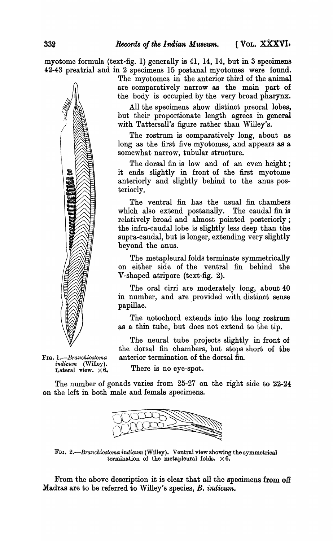myotome formula (text-fig. 1) generally is  $41, 14, 14$ , but in 3 specimens 42-43 preatrial and in 2 speoimens 15 postanal myotomes were found.

/ /

FIG. *l.-Branchiostoma ·indicum* (Willey). Lateral view.  $\times 6$ . The myotomes in the anterior third of the animal are oomparatively narrow as the main part of the body is oooupied by the very broad pharynx.

All the specimens show distinct preoral lobes, but their proportionate length agrees in general with Tattersall's figure rather than Willey's.

The rostrum is comparatively long, about as long as the first five myotomes, and appears as a somewhat narrow, tubular structure.

The dorsal fin is low and of an even height; it ends slightly in front of the first myotome anteriorly and slightly behind to the anus posteriorly.

The ventral fin has the usual fin ohambers whioh also extend postanally. The oaudal fin is relatively broad and almost pointed posteriorly; the infra-caudal lobe is slightly less deep than the supra-oaudal, but is longer, extending very slightly beyond the anus.

The metapleural folds terminate symmetrioally on either side of the ventral fin behind the V-shaped atripore (text-fig. 2).

The oral cirri are moderately long, about 40 in number, and are provided with distinct sense papillae.

The notochord extends into the long rostrum as a thin tube, but does not extend to the tip.

The neural tube projects slightly in front of the dorsal fin chambers, but stops short of the anterior termination of the dorsal fin.

There is no eye-spot.

The number of gonads varies from 25-27 on the right side to 22-24 on the left in both male and female speoimens.



FIG. *2.-Branchiostoma indicum* (Willey). Ventral view showing the symmetrical termination of the metapleural folds.  $\times 6$ .

From the above description it is clear that all the specimens from off Madras are to be referred to Willey's species, B. *indicum*.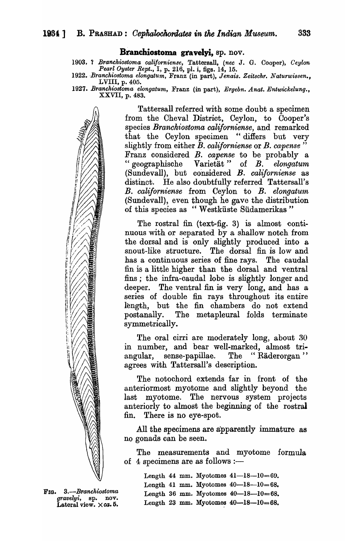#### Branchiostoma gravelyi, sp. nov.

- 1903. ? *Branchiostoma cali/orniense,* Tattersall, *(nee* J. G. Cooper), *Ceylon Pearl Oyster Rept.,* I, p. 216, pl. i, figs. 14, 15.
- *1922. -Branehiostoma elongatum,* Franz (in part), *Jenais. Zeitschr. Naturwissen.,*  LVIII, p. 405.
- *1927. Branchiostoma elongatum,* Franz (in part), *Ergebn. Anat. Entwickelung.,*  XXVII, p. 483.

Tattersall referred with some doubt a specimen from the Cheval District, Ceylon, to Cooper's species *Branckiostoma caliJorniense,* and remarked that the Ceylon specimen "difiers but very slightly from either B. *californiense* or *B. capense* " Franz considered *B. capense* to be probably a " geographische Varietat" of *B. elongatum*  (Sundevall), but considered *B. californiense* as distinct. He also doubtfully referred Tattersall's *B. californiense* from Ceylon to *B. elongatum*  (Sundevall), even though he gave the distribution of this species as "W estkiiste Siidamerikas "

The rostral fin (text-fig. 3) is almost continuous with or separated by a shallow notch from the dorsal and is only slightly produced into a snout-like structure. The dorsal fin is low and has a continuous series of fine rays. The caudal fin is a little higher than the dorsal and ventral fins; the infra-caudal lobe is slightly longer and deeper. The ventral fin is very long, and has a series of double fin rays throughout its entire length, but the fin chambers do not extend postanally. The metapleural folds terminate symmetrically.

The oral cirri are moderately long, about 30 in number, and bear well-marked, almost triangular, sense-papillae. The "Räderorgan" agrees with Tattersall's description.

The notochord extends far in front of the anteriormost myotome and slightly beyond the last myotome. The nervous system projects anteriorly to almost the beginning of the rostral fin. There is no eye-spot.

All the specimens are apparently immature as no gonads can be seen.

The measurements and myotome formula of 4 specimens are as follows  $:$ ---

> Length 44 mm. Myotomes  $41-18-10=69$ . Length 41 mm. Myotomes  $40-18-10=68$ . Length 36 mm. Myotomes  $40 - 18 - 10 = 68$ . Length 23 mm. Myotomes  $40-18-10=68$ .

FLO. *3.-Branchiostoma gravelyi,* sp. nov. Lateral view. Xca. 5.